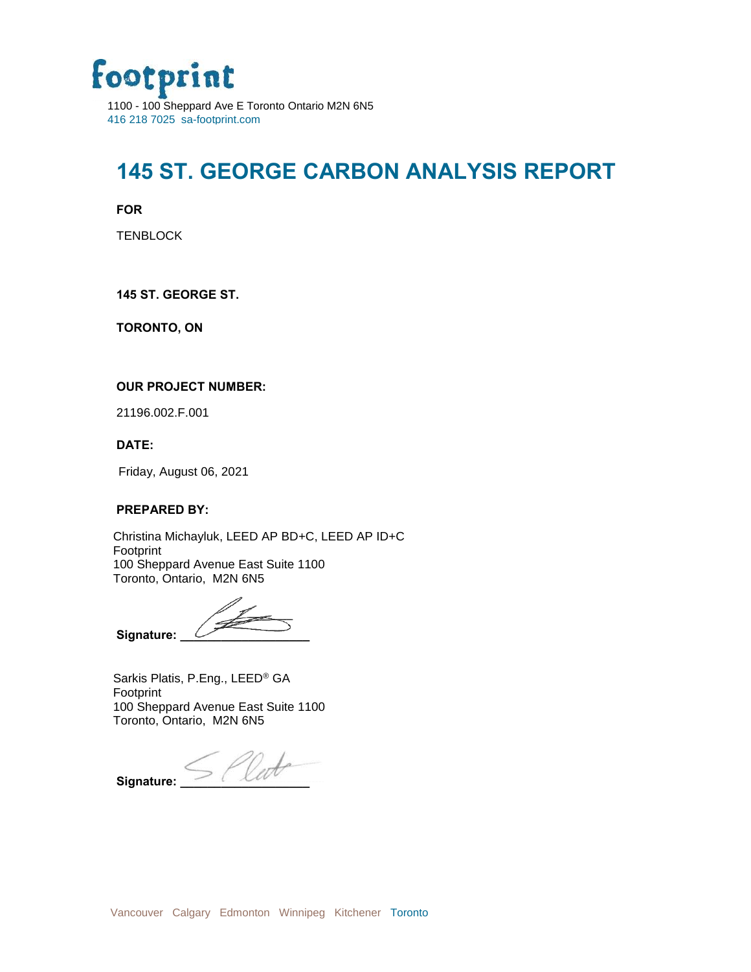

### **145 ST. GEORGE CARBON ANALYSIS REPORT**

**FOR**

**TENBLOCK** 

**145 ST. GEORGE ST.**

**TORONTO, ON**

#### **OUR PROJECT NUMBER:**

21196.002.F.001

**DATE:**

Friday, August 06, 2021

#### **PREPARED BY:**

Christina Michayluk, LEED AP BD+C, LEED AP ID+C Footprint 100 Sheppard Avenue East Suite 1100 Toronto, Ontario, M2N 6N5

Signature:

Sarkis Platis, P.Eng., LEED® GA Footprint 100 Sheppard Avenue East Suite 1100 Toronto, Ontario, M2N 6N5

 $\mathsf{s}$ ignature:  $\leq$  *( letter*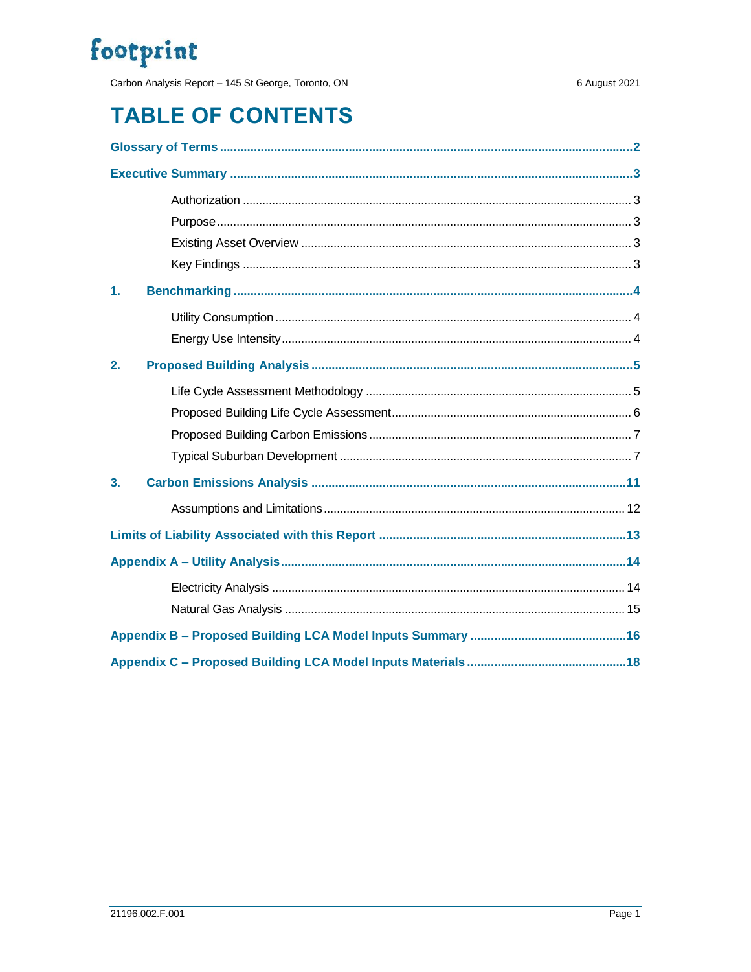Carbon Analysis Report - 145 St George, Toronto, ON

## **TABLE OF CONTENTS**

| 1. |  |
|----|--|
|    |  |
|    |  |
| 2. |  |
|    |  |
|    |  |
|    |  |
|    |  |
| 3. |  |
|    |  |
|    |  |
|    |  |
|    |  |
|    |  |
|    |  |
|    |  |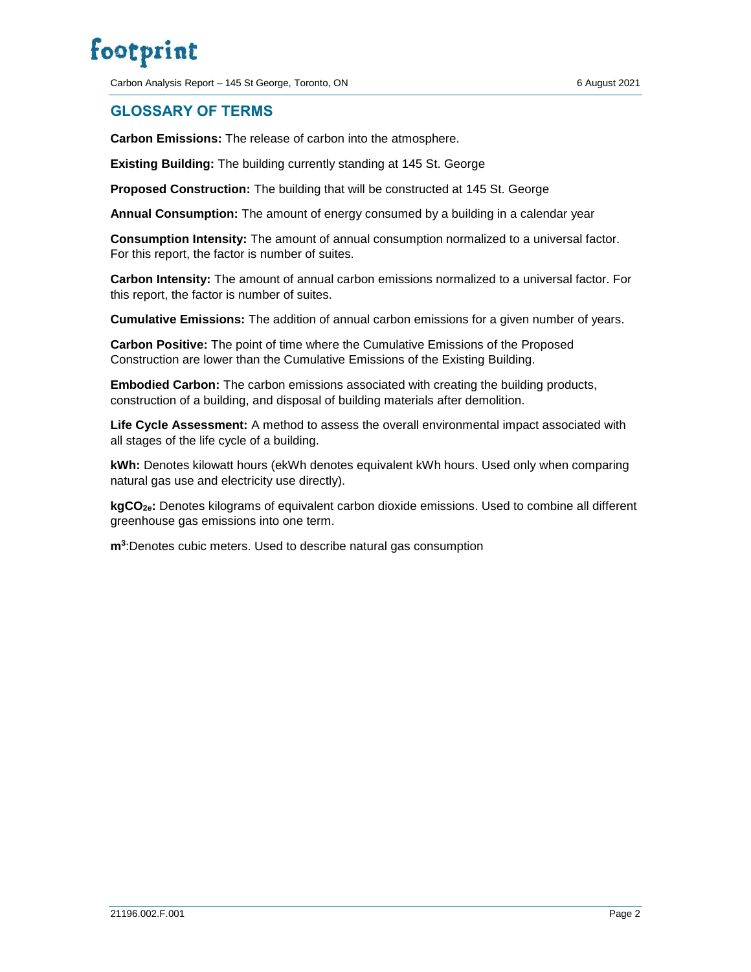Carbon Analysis Report – 145 St George, Toronto, ON 6 August 2021

### <span id="page-2-0"></span>**GLOSSARY OF TERMS**

**Carbon Emissions:** The release of carbon into the atmosphere.

**Existing Building:** The building currently standing at 145 St. George

**Proposed Construction:** The building that will be constructed at 145 St. George

**Annual Consumption:** The amount of energy consumed by a building in a calendar year

**Consumption Intensity:** The amount of annual consumption normalized to a universal factor. For this report, the factor is number of suites.

**Carbon Intensity:** The amount of annual carbon emissions normalized to a universal factor. For this report, the factor is number of suites.

**Cumulative Emissions:** The addition of annual carbon emissions for a given number of years.

**Carbon Positive:** The point of time where the Cumulative Emissions of the Proposed Construction are lower than the Cumulative Emissions of the Existing Building.

**Embodied Carbon:** The carbon emissions associated with creating the building products, construction of a building, and disposal of building materials after demolition.

**Life Cycle Assessment:** A method to assess the overall environmental impact associated with all stages of the life cycle of a building.

**kWh:** Denotes kilowatt hours (ekWh denotes equivalent kWh hours. Used only when comparing natural gas use and electricity use directly).

**kgCO2e:** Denotes kilograms of equivalent carbon dioxide emissions. Used to combine all different greenhouse gas emissions into one term.

**m<sup>3</sup>** :Denotes cubic meters. Used to describe natural gas consumption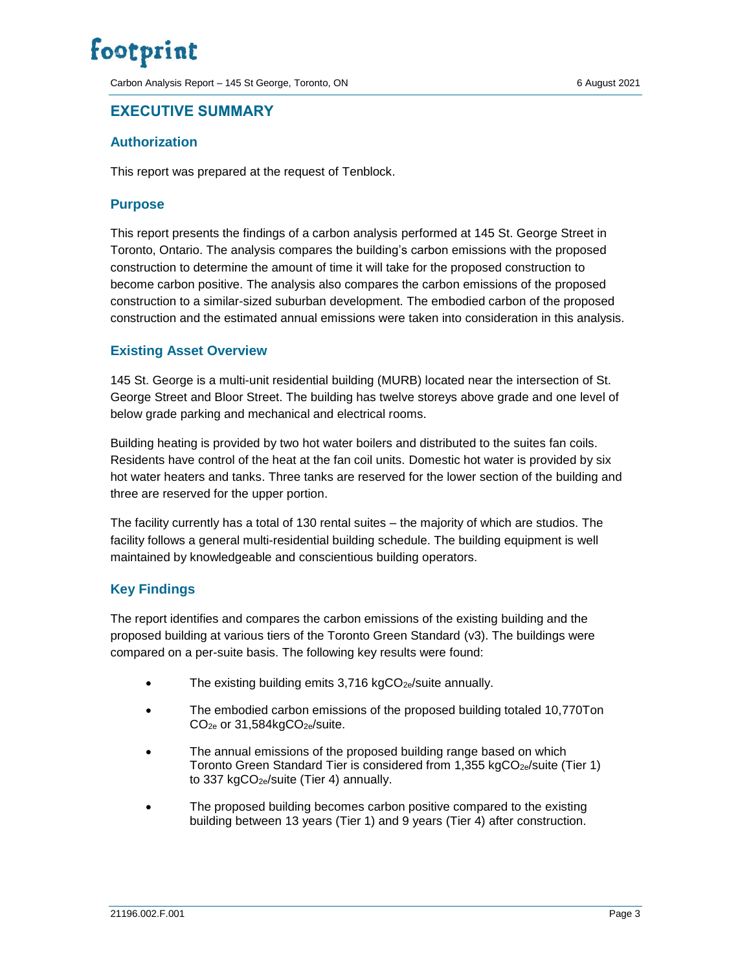Carbon Analysis Report – 145 St George, Toronto, ON 6 August 2021

### <span id="page-3-0"></span>**EXECUTIVE SUMMARY**

#### <span id="page-3-1"></span>**Authorization**

This report was prepared at the request of Tenblock.

#### <span id="page-3-2"></span>**Purpose**

This report presents the findings of a carbon analysis performed at 145 St. George Street in Toronto, Ontario. The analysis compares the building's carbon emissions with the proposed construction to determine the amount of time it will take for the proposed construction to become carbon positive. The analysis also compares the carbon emissions of the proposed construction to a similar-sized suburban development. The embodied carbon of the proposed construction and the estimated annual emissions were taken into consideration in this analysis.

#### <span id="page-3-3"></span>**Existing Asset Overview**

145 St. George is a multi-unit residential building (MURB) located near the intersection of St. George Street and Bloor Street. The building has twelve storeys above grade and one level of below grade parking and mechanical and electrical rooms.

Building heating is provided by two hot water boilers and distributed to the suites fan coils. Residents have control of the heat at the fan coil units. Domestic hot water is provided by six hot water heaters and tanks. Three tanks are reserved for the lower section of the building and three are reserved for the upper portion.

The facility currently has a total of 130 rental suites – the majority of which are studios. The facility follows a general multi-residential building schedule. The building equipment is well maintained by knowledgeable and conscientious building operators.

#### <span id="page-3-4"></span>**Key Findings**

The report identifies and compares the carbon emissions of the existing building and the proposed building at various tiers of the Toronto Green Standard (v3). The buildings were compared on a per-suite basis. The following key results were found:

- The existing building emits  $3,716 \text{ kgCO}_{2e}/\text{suit}$  annually.
- The embodied carbon emissions of the proposed building totaled 10,770Ton CO<sub>2e</sub> or 31,584kgCO<sub>2e</sub>/suite.
- The annual emissions of the proposed building range based on which Toronto Green Standard Tier is considered from 1,355 kgCO<sub>2e</sub>/suite (Tier 1) to 337 kgCO<sub>2e</sub>/suite (Tier 4) annually.
- The proposed building becomes carbon positive compared to the existing building between 13 years (Tier 1) and 9 years (Tier 4) after construction.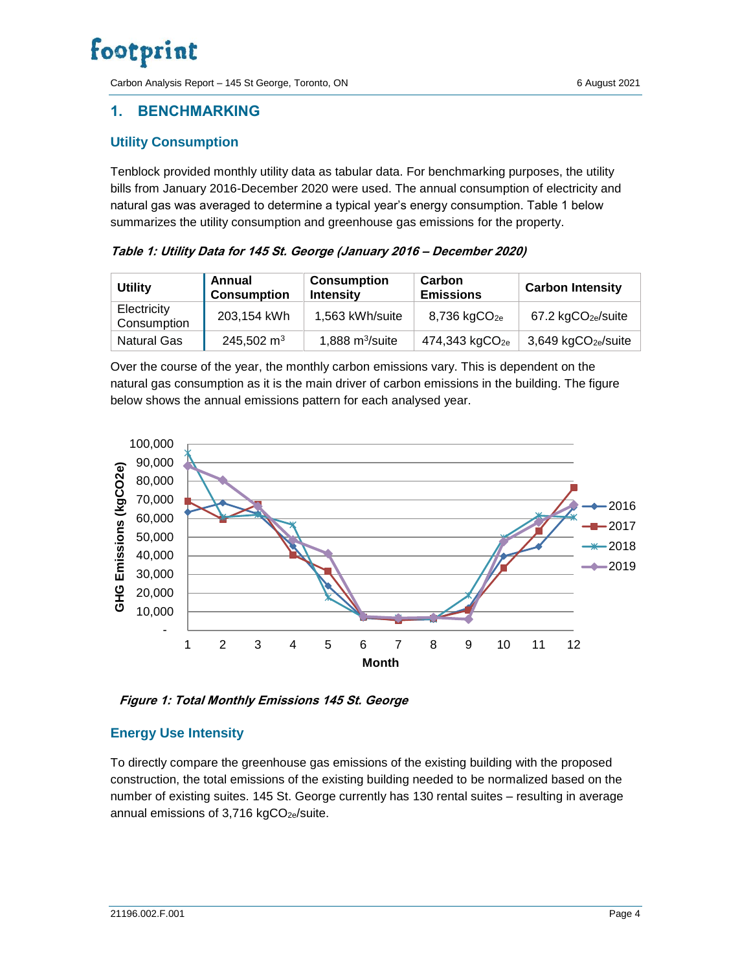Carbon Analysis Report – 145 St George, Toronto, ON 6 6 August 2021

### <span id="page-4-0"></span>**1. BENCHMARKING**

#### <span id="page-4-1"></span>**Utility Consumption**

Tenblock provided monthly utility data as tabular data. For benchmarking purposes, the utility bills from January 2016-December 2020 were used. The annual consumption of electricity and natural gas was averaged to determine a typical year's energy consumption. Table 1 below summarizes the utility consumption and greenhouse gas emissions for the property.

**Table 1: Utility Data for 145 St. George (January 2016 – December 2020)**

| <b>Utility</b>             | Annual<br><b>Consumption</b> | <b>Consumption</b><br><b>Intensity</b> | Carbon<br><b>Emissions</b> | <b>Carbon Intensity</b>              |
|----------------------------|------------------------------|----------------------------------------|----------------------------|--------------------------------------|
| Electricity<br>Consumption | 203,154 kWh                  | 1,563 kWh/suite                        | $8,736$ kgCO <sub>2e</sub> | $67.2 \text{ kgCO}_{2e}/\text{suit}$ |
| Natural Gas                | 245,502 $m3$                 | 1,888 $m^3$ /suite                     | 474,343 kgCO <sub>2e</sub> | 3,649 kgCO <sub>2e</sub> /suite      |

Over the course of the year, the monthly carbon emissions vary. This is dependent on the natural gas consumption as it is the main driver of carbon emissions in the building. The figure below shows the annual emissions pattern for each analysed year.



**Figure 1: Total Monthly Emissions 145 St. George**

### <span id="page-4-2"></span>**Energy Use Intensity**

To directly compare the greenhouse gas emissions of the existing building with the proposed construction, the total emissions of the existing building needed to be normalized based on the number of existing suites. 145 St. George currently has 130 rental suites – resulting in average annual emissions of  $3,716$  kgCO<sub>2e</sub>/suite.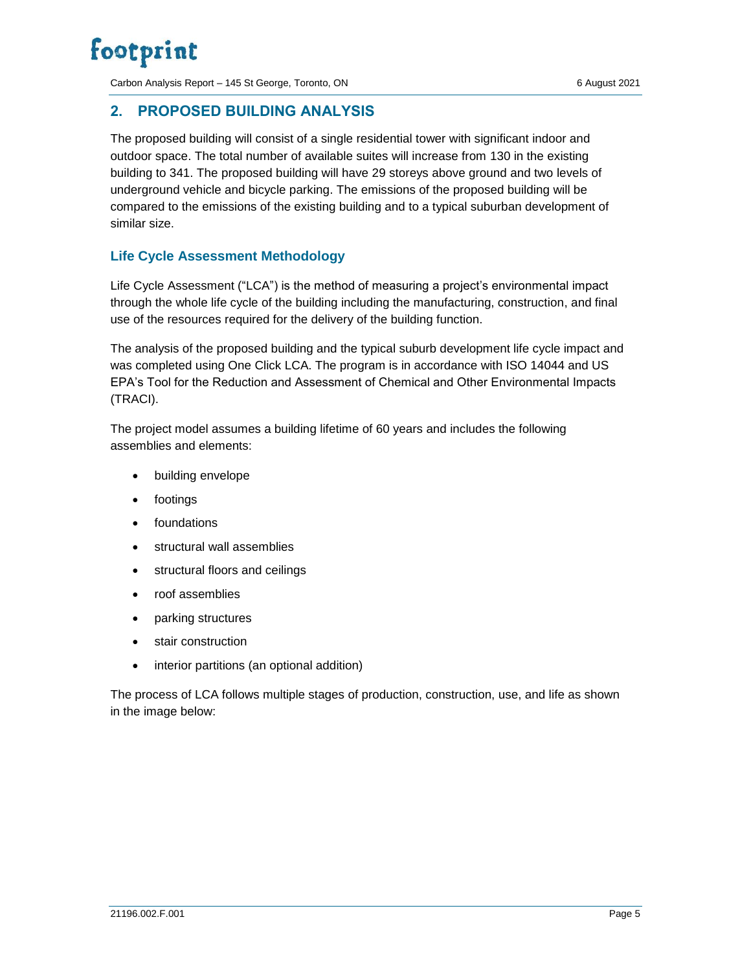Carbon Analysis Report – 145 St George, Toronto, ON 6 August 2021

### <span id="page-5-0"></span>**2. PROPOSED BUILDING ANALYSIS**

The proposed building will consist of a single residential tower with significant indoor and outdoor space. The total number of available suites will increase from 130 in the existing building to 341. The proposed building will have 29 storeys above ground and two levels of underground vehicle and bicycle parking. The emissions of the proposed building will be compared to the emissions of the existing building and to a typical suburban development of similar size.

### <span id="page-5-1"></span>**Life Cycle Assessment Methodology**

Life Cycle Assessment ("LCA") is the method of measuring a project's environmental impact through the whole life cycle of the building including the manufacturing, construction, and final use of the resources required for the delivery of the building function.

The analysis of the proposed building and the typical suburb development life cycle impact and was completed using One Click LCA. The program is in accordance with ISO 14044 and US EPA's Tool for the Reduction and Assessment of Chemical and Other Environmental Impacts (TRACI).

The project model assumes a building lifetime of 60 years and includes the following assemblies and elements:

- building envelope
- footings
- foundations
- structural wall assemblies
- structural floors and ceilings
- roof assemblies
- parking structures
- stair construction
- interior partitions (an optional addition)

The process of LCA follows multiple stages of production, construction, use, and life as shown in the image below: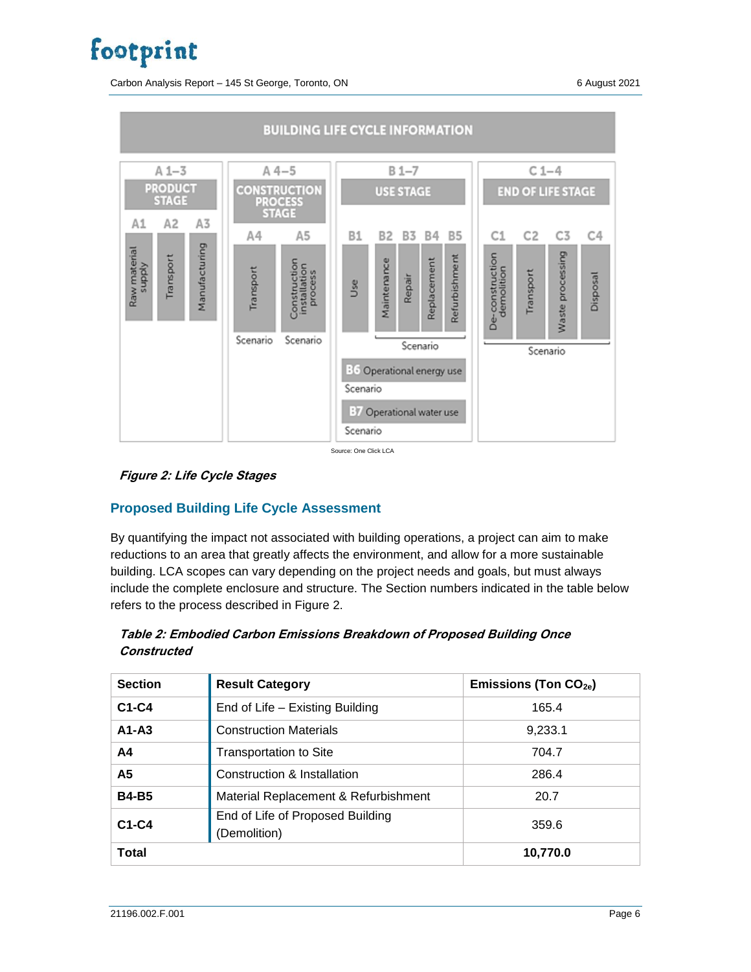Carbon Analysis Report – 145 St George, Toronto, ON 6 6 August 2021



Source: One Click LCA



### <span id="page-6-0"></span>**Proposed Building Life Cycle Assessment**

By quantifying the impact not associated with building operations, a project can aim to make reductions to an area that greatly affects the environment, and allow for a more sustainable building. LCA scopes can vary depending on the project needs and goals, but must always include the complete enclosure and structure. The Section numbers indicated in the table below refers to the process described in Figure 2.

#### **Table 2: Embodied Carbon Emissions Breakdown of Proposed Building Once Constructed**

| <b>Section</b> | <b>Result Category</b>                           | Emissions (Ton $CO2e$ ) |
|----------------|--------------------------------------------------|-------------------------|
| $C1-C4$        | End of Life - Existing Building                  | 165.4                   |
| $A1 - A3$      | <b>Construction Materials</b>                    | 9,233.1                 |
| A4             | <b>Transportation to Site</b>                    | 704.7                   |
| A5             | Construction & Installation                      | 286.4                   |
| <b>B4-B5</b>   | Material Replacement & Refurbishment             | 20.7                    |
| $C1-C4$        | End of Life of Proposed Building<br>(Demolition) | 359.6                   |
| <b>Total</b>   |                                                  | 10,770.0                |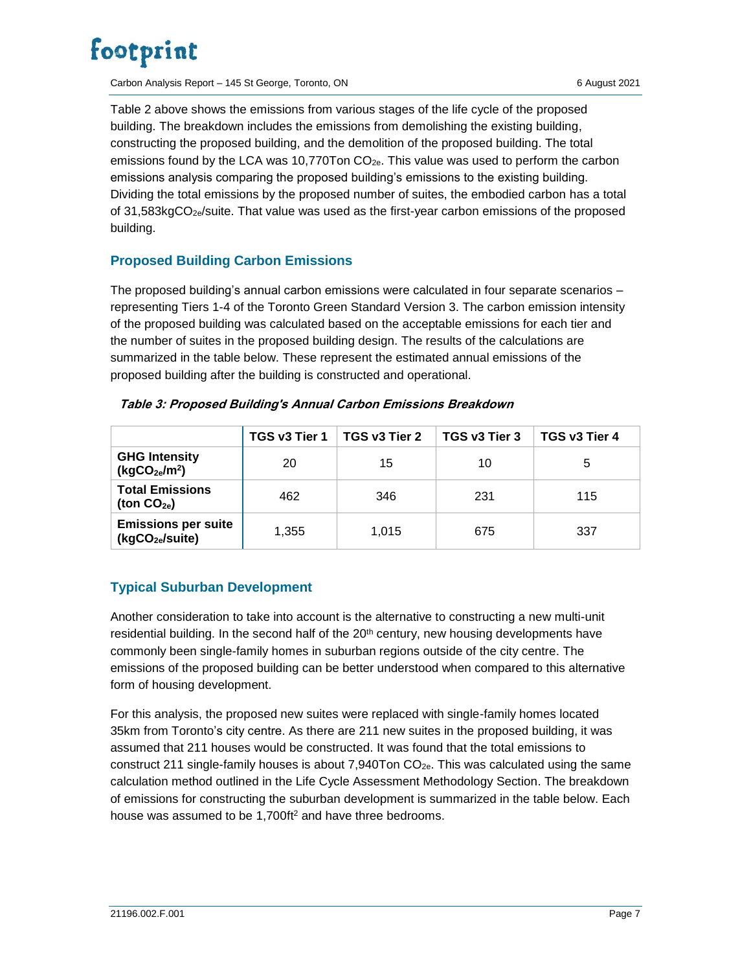Carbon Analysis Report – 145 St George, Toronto, ON 6 August 2021

Table 2 above shows the emissions from various stages of the life cycle of the proposed building. The breakdown includes the emissions from demolishing the existing building, constructing the proposed building, and the demolition of the proposed building. The total emissions found by the LCA was 10,770Ton  $CO<sub>2e</sub>$ . This value was used to perform the carbon emissions analysis comparing the proposed building's emissions to the existing building. Dividing the total emissions by the proposed number of suites, the embodied carbon has a total of 31,583kgCO2e/suite. That value was used as the first-year carbon emissions of the proposed building.

### <span id="page-7-0"></span>**Proposed Building Carbon Emissions**

The proposed building's annual carbon emissions were calculated in four separate scenarios – representing Tiers 1-4 of the Toronto Green Standard Version 3. The carbon emission intensity of the proposed building was calculated based on the acceptable emissions for each tier and the number of suites in the proposed building design. The results of the calculations are summarized in the table below. These represent the estimated annual emissions of the proposed building after the building is constructed and operational.

|                                                               | TGS v3 Tier 1 | TGS v3 Tier 2 | TGS v3 Tier 3 | TGS v3 Tier 4 |
|---------------------------------------------------------------|---------------|---------------|---------------|---------------|
| <b>GHG Intensity</b><br>(kgCO <sub>2e</sub> /m <sup>2</sup> ) | 20            | 15            | 10            | 5             |
| <b>Total Emissions</b><br>(ton $CO2e$ )                       | 462           | 346           | 231           | 115           |
| <b>Emissions per suite</b><br>(kgCO <sub>2e</sub> /suite)     | 1.355         | 1.015         | 675           | 337           |

#### **Table 3: Proposed Building's Annual Carbon Emissions Breakdown**

### <span id="page-7-1"></span>**Typical Suburban Development**

Another consideration to take into account is the alternative to constructing a new multi-unit residential building. In the second half of the 20<sup>th</sup> century, new housing developments have commonly been single-family homes in suburban regions outside of the city centre. The emissions of the proposed building can be better understood when compared to this alternative form of housing development.

For this analysis, the proposed new suites were replaced with single-family homes located 35km from Toronto's city centre. As there are 211 new suites in the proposed building, it was assumed that 211 houses would be constructed. It was found that the total emissions to construct 211 single-family houses is about 7,940Ton  $CO<sub>2e</sub>$ . This was calculated using the same calculation method outlined in the Life Cycle Assessment Methodology Section. The breakdown of emissions for constructing the suburban development is summarized in the table below. Each house was assumed to be 1,700ft<sup>2</sup> and have three bedrooms.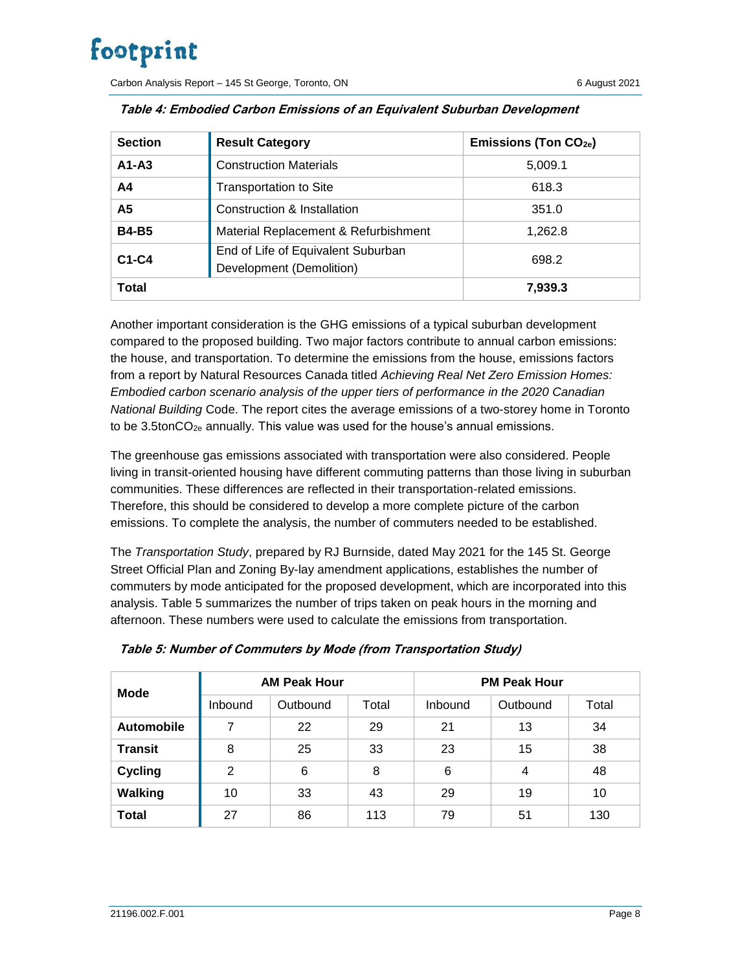Carbon Analysis Report – 145 St George, Toronto, ON 6 August 2021

| <b>Section</b> | <b>Result Category</b>                                         | Emissions (Ton $CO_{2e}$ ) |
|----------------|----------------------------------------------------------------|----------------------------|
| $A1 - A3$      | <b>Construction Materials</b>                                  | 5,009.1                    |
| A <sub>4</sub> | <b>Transportation to Site</b>                                  | 618.3                      |
| A5             | Construction & Installation                                    | 351.0                      |
| <b>B4-B5</b>   | Material Replacement & Refurbishment                           | 1,262.8                    |
| $C1-C4$        | End of Life of Equivalent Suburban<br>Development (Demolition) | 698.2                      |
| <b>Total</b>   |                                                                | 7,939.3                    |

|  | Table 4: Embodied Carbon Emissions of an Equivalent Suburban Development |  |  |  |  |
|--|--------------------------------------------------------------------------|--|--|--|--|
|--|--------------------------------------------------------------------------|--|--|--|--|

Another important consideration is the GHG emissions of a typical suburban development compared to the proposed building. Two major factors contribute to annual carbon emissions: the house, and transportation. To determine the emissions from the house, emissions factors from a report by Natural Resources Canada titled *Achieving Real Net Zero Emission Homes: Embodied carbon scenario analysis of the upper tiers of performance in the 2020 Canadian National Building* Code. The report cites the average emissions of a two-storey home in Toronto to be  $3.5$ tonCO<sub>2e</sub> annually. This value was used for the house's annual emissions.

The greenhouse gas emissions associated with transportation were also considered. People living in transit-oriented housing have different commuting patterns than those living in suburban communities. These differences are reflected in their transportation-related emissions. Therefore, this should be considered to develop a more complete picture of the carbon emissions. To complete the analysis, the number of commuters needed to be established.

The *Transportation Study*, prepared by RJ Burnside, dated May 2021 for the 145 St. George Street Official Plan and Zoning By-lay amendment applications, establishes the number of commuters by mode anticipated for the proposed development, which are incorporated into this analysis. Table 5 summarizes the number of trips taken on peak hours in the morning and afternoon. These numbers were used to calculate the emissions from transportation.

| <b>Mode</b>       | <b>AM Peak Hour</b> |          |       | <b>PM Peak Hour</b> |          |       |
|-------------------|---------------------|----------|-------|---------------------|----------|-------|
|                   | Inbound             | Outbound | Total | <b>Inbound</b>      | Outbound | Total |
| <b>Automobile</b> | 7                   | 22       | 29    | 21                  | 13       | 34    |
| <b>Transit</b>    | 8                   | 25       | 33    | 23                  | 15       | 38    |
| <b>Cycling</b>    | 2                   | 6        | 8     | 6                   | 4        | 48    |
| <b>Walking</b>    | 10                  | 33       | 43    | 29                  | 19       | 10    |
| <b>Total</b>      | 27                  | 86       | 113   | 79                  | 51       | 130   |

|  |  | Table 5: Number of Commuters by Mode (from Transportation Study) |  |
|--|--|------------------------------------------------------------------|--|
|  |  |                                                                  |  |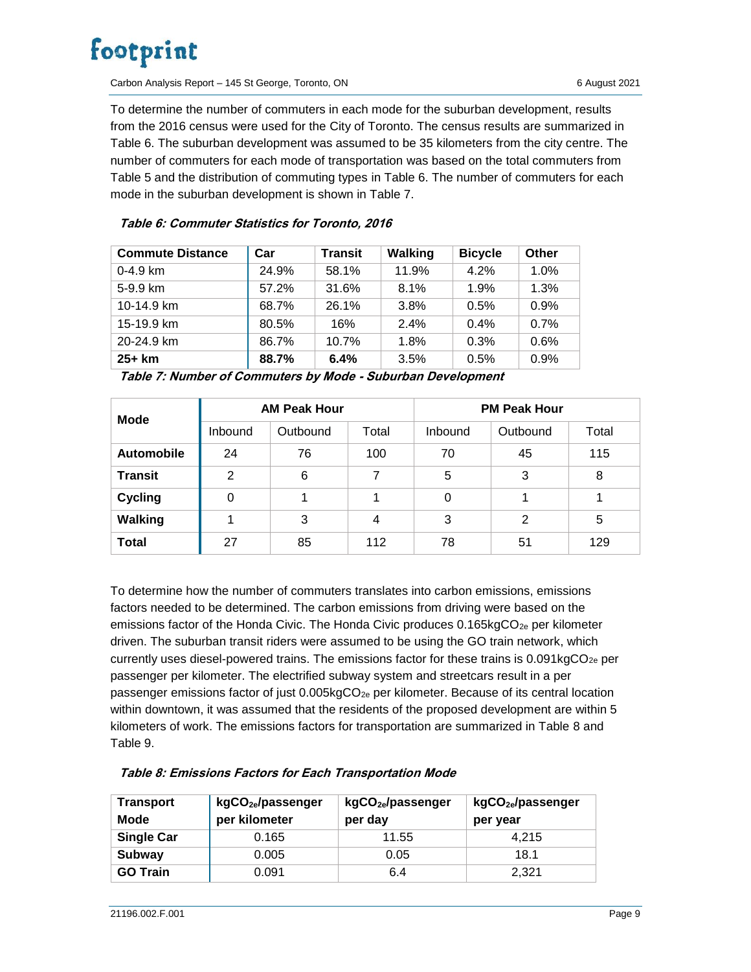Carbon Analysis Report – 145 St George, Toronto, ON 6 6 August 2021

To determine the number of commuters in each mode for the suburban development, results from the 2016 census were used for the City of Toronto. The census results are summarized in Table 6. The suburban development was assumed to be 35 kilometers from the city centre. The number of commuters for each mode of transportation was based on the total commuters from Table 5 and the distribution of commuting types in Table 6. The number of commuters for each mode in the suburban development is shown in Table 7.

#### **Table 6: Commuter Statistics for Toronto, 2016**

| <b>Commute Distance</b> | Car   | <b>Transit</b> | <b>Walking</b> | <b>Bicycle</b> | Other |
|-------------------------|-------|----------------|----------------|----------------|-------|
| $0-4.9$ km              | 24.9% | 58.1%          | 11.9%          | 4.2%           | 1.0%  |
| 5-9.9 km                | 57.2% | 31.6%          | 8.1%           | 1.9%           | 1.3%  |
| 10-14.9 km              | 68.7% | 26.1%          | 3.8%           | 0.5%           | 0.9%  |
| 15-19.9 km              | 80.5% | 16%            | 2.4%           | 0.4%           | 0.7%  |
| 20-24.9 km              | 86.7% | 10.7%          | 1.8%           | 0.3%           | 0.6%  |
| $25+km$                 | 88.7% | 6.4%           | 3.5%           | 0.5%           | 0.9%  |

**Table 7: Number of Commuters by Mode - Suburban Development**

| Mode              | <b>AM Peak Hour</b> |          |       | <b>PM Peak Hour</b> |          |       |
|-------------------|---------------------|----------|-------|---------------------|----------|-------|
|                   | <b>Inbound</b>      | Outbound | Total | Inbound             | Outbound | Total |
| <b>Automobile</b> | 24                  | 76       | 100   | 70                  | 45       | 115   |
| <b>Transit</b>    | 2                   | 6        | 7     | 5                   | 3        | 8     |
| <b>Cycling</b>    | 0                   |          | 1     | 0                   | 1        |       |
| <b>Walking</b>    |                     | 3        | 4     | 3                   | 2        | 5     |
| <b>Total</b>      | 27                  | 85       | 112   | 78                  | 51       | 129   |

To determine how the number of commuters translates into carbon emissions, emissions factors needed to be determined. The carbon emissions from driving were based on the emissions factor of the Honda Civic. The Honda Civic produces  $0.165kgCO<sub>2e</sub>$  per kilometer driven. The suburban transit riders were assumed to be using the GO train network, which currently uses diesel-powered trains. The emissions factor for these trains is  $0.091kgCO<sub>2e</sub>$  per passenger per kilometer. The electrified subway system and streetcars result in a per passenger emissions factor of just 0.005kgCO<sub>2e</sub> per kilometer. Because of its central location within downtown, it was assumed that the residents of the proposed development are within 5 kilometers of work. The emissions factors for transportation are summarized in Table 8 and Table 9.

| <b>Transport</b><br><b>Mode</b> | kgCO <sub>2e</sub> /passenger<br>per kilometer | kgCO <sub>2e</sub> /passenger<br>per day | kgCO <sub>2e</sub> /passenger<br>per year |
|---------------------------------|------------------------------------------------|------------------------------------------|-------------------------------------------|
| <b>Single Car</b>               | 0.165                                          | 11.55                                    | 4.215                                     |
| Subway                          | 0.005                                          | 0.05                                     | 18.1                                      |
| <b>GO Train</b>                 | 0.091                                          | 6.4                                      | 2,321                                     |

**Table 8: Emissions Factors for Each Transportation Mode**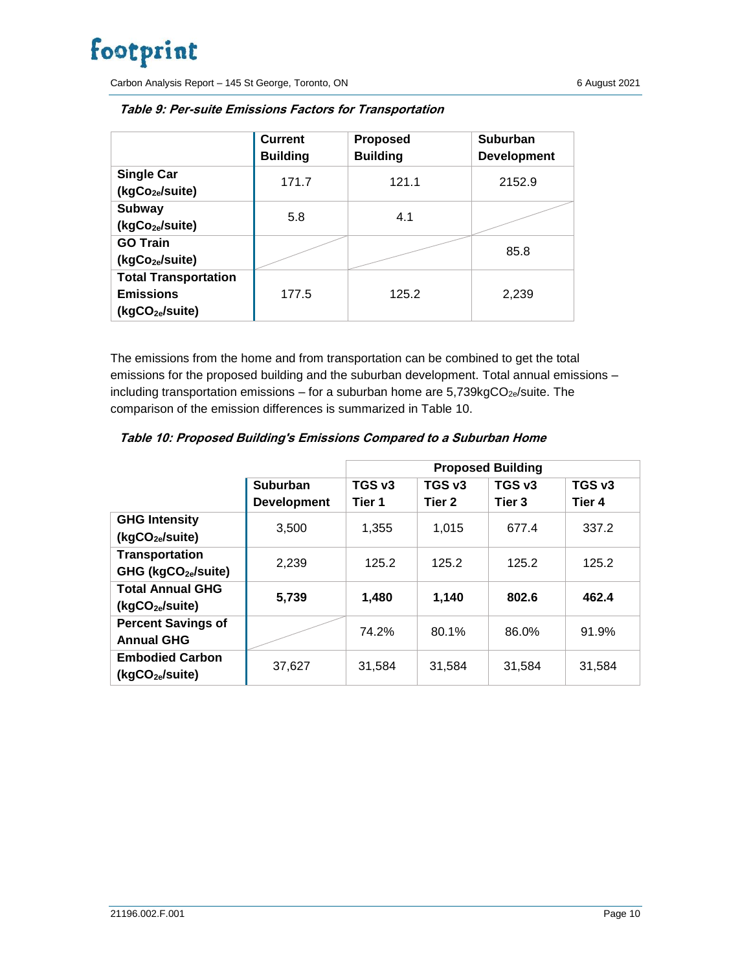Carbon Analysis Report – 145 St George, Toronto, ON 6 August 2021

|                                                                                | <b>Current</b><br><b>Building</b> | <b>Proposed</b><br><b>Building</b> | <b>Suburban</b><br><b>Development</b> |
|--------------------------------------------------------------------------------|-----------------------------------|------------------------------------|---------------------------------------|
| <b>Single Car</b><br>(kgCo <sub>2e</sub> /suite)                               | 171.7                             | 121.1                              | 2152.9                                |
| Subway<br>(kgCo <sub>2e</sub> /suite)                                          | 5.8                               | 4.1                                |                                       |
| <b>GO Train</b><br>(kgCo <sub>2e</sub> /suite)                                 |                                   |                                    | 85.8                                  |
| <b>Total Transportation</b><br><b>Emissions</b><br>(kgCO <sub>2e</sub> /suite) | 177.5                             | 125.2                              | 2,239                                 |

**Table 9: Per-suite Emissions Factors for Transportation**

The emissions from the home and from transportation can be combined to get the total emissions for the proposed building and the suburban development. Total annual emissions – including transportation emissions - for a suburban home are  $5,739kgCO_{2e}/s$ uite. The comparison of the emission differences is summarized in Table 10.

|                                 |                    | <b>Proposed Building</b> |        |                   |        |
|---------------------------------|--------------------|--------------------------|--------|-------------------|--------|
|                                 | <b>Suburban</b>    | TGS v3                   | TGS v3 | TGS v3            | TGS v3 |
|                                 | <b>Development</b> | Tier 1                   | Tier 2 | Tier <sub>3</sub> | Tier 4 |
| <b>GHG Intensity</b>            | 3.500              | 1.355                    | 1.015  | 677.4             | 337.2  |
| (kgCO <sub>2e</sub> /suite)     |                    |                          |        |                   |        |
| <b>Transportation</b>           | 2.239              | 125.2                    | 125.2  | 125.2             | 125.2  |
| GHG (kgCO <sub>2e</sub> /suite) |                    |                          |        |                   |        |
| <b>Total Annual GHG</b>         | 5,739              | 1,480                    | 1,140  | 802.6             | 462.4  |
| (kgCO <sub>2e</sub> /suite)     |                    |                          |        |                   |        |
| <b>Percent Savings of</b>       |                    | 74.2%                    | 80.1%  | 86.0%             | 91.9%  |
| <b>Annual GHG</b>               |                    |                          |        |                   |        |
| <b>Embodied Carbon</b>          | 37,627             | 31,584                   | 31,584 | 31,584            | 31,584 |
| (kgCO <sub>2e</sub> /suite)     |                    |                          |        |                   |        |

| Table 10: Proposed Building's Emissions Compared to a Suburban Home |  |  |
|---------------------------------------------------------------------|--|--|
|                                                                     |  |  |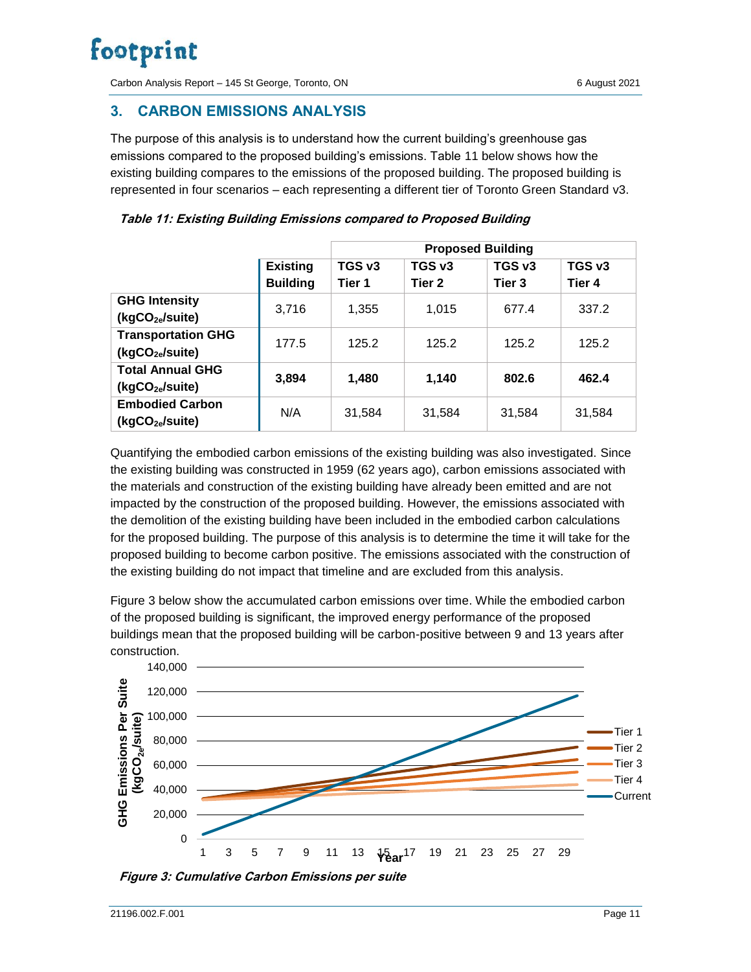Carbon Analysis Report – 145 St George, Toronto, ON 6 August 2021

### <span id="page-11-0"></span>**3. CARBON EMISSIONS ANALYSIS**

The purpose of this analysis is to understand how the current building's greenhouse gas emissions compared to the proposed building's emissions. Table 11 below shows how the existing building compares to the emissions of the proposed building. The proposed building is represented in four scenarios – each representing a different tier of Toronto Green Standard v3.

|                                                          |                                    | <b>Proposed Building</b> |                  |                  |                  |
|----------------------------------------------------------|------------------------------------|--------------------------|------------------|------------------|------------------|
|                                                          | <b>Existing</b><br><b>Building</b> | TGS v3<br>Tier 1         | TGS v3<br>Tier 2 | TGS v3<br>Tier 3 | TGS v3<br>Tier 4 |
| <b>GHG Intensity</b><br>(kgCO2e/suite)                   | 3,716                              | 1,355                    | 1.015            | 677.4            | 337.2            |
| <b>Transportation GHG</b><br>(kgCO <sub>2e</sub> /suite) | 177.5                              | 125.2                    | 125.2            | 125.2            | 125.2            |
| <b>Total Annual GHG</b><br>(kgCO2e/suite)                | 3,894                              | 1.480                    | 1,140            | 802.6            | 462.4            |
| <b>Embodied Carbon</b><br>(kgCO <sub>2e</sub> /suite)    | N/A                                | 31,584                   | 31,584           | 31,584           | 31,584           |

| Table 11: Existing Building Emissions compared to Proposed Building |  |  |  |
|---------------------------------------------------------------------|--|--|--|
|                                                                     |  |  |  |

Quantifying the embodied carbon emissions of the existing building was also investigated. Since the existing building was constructed in 1959 (62 years ago), carbon emissions associated with the materials and construction of the existing building have already been emitted and are not impacted by the construction of the proposed building. However, the emissions associated with the demolition of the existing building have been included in the embodied carbon calculations for the proposed building. The purpose of this analysis is to determine the time it will take for the proposed building to become carbon positive. The emissions associated with the construction of the existing building do not impact that timeline and are excluded from this analysis.

Figure 3 below show the accumulated carbon emissions over time. While the embodied carbon of the proposed building is significant, the improved energy performance of the proposed buildings mean that the proposed building will be carbon-positive between 9 and 13 years after construction.



**Figure 3: Cumulative Carbon Emissions per suite**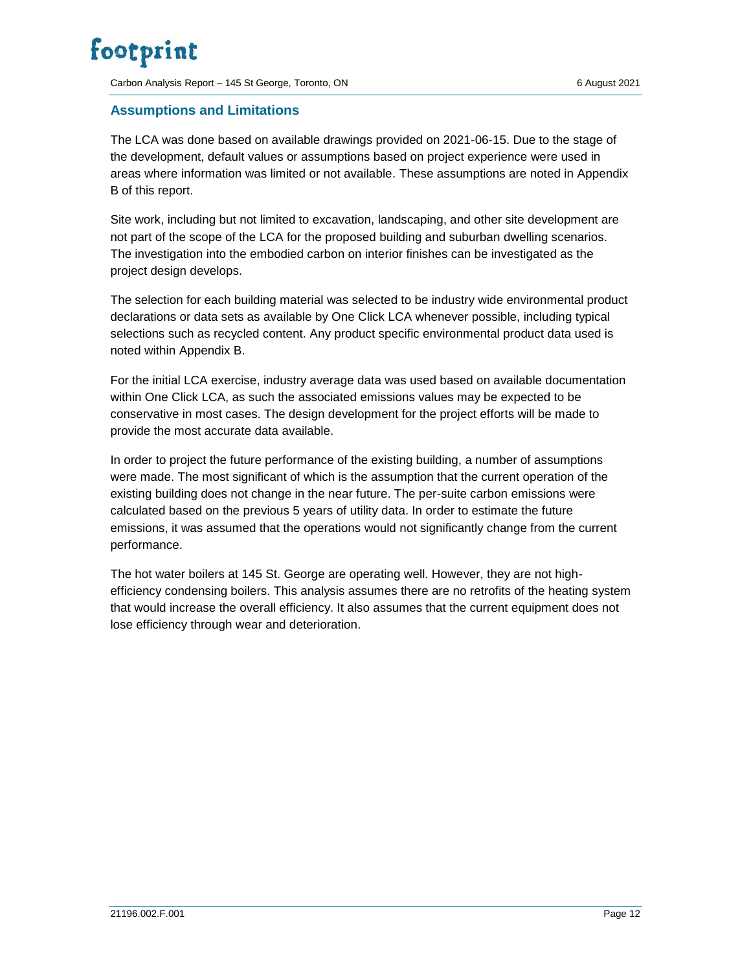Carbon Analysis Report – 145 St George, Toronto, ON 6 August 2021

#### <span id="page-12-0"></span>**Assumptions and Limitations**

The LCA was done based on available drawings provided on 2021-06-15. Due to the stage of the development, default values or assumptions based on project experience were used in areas where information was limited or not available. These assumptions are noted in Appendix B of this report.

Site work, including but not limited to excavation, landscaping, and other site development are not part of the scope of the LCA for the proposed building and suburban dwelling scenarios. The investigation into the embodied carbon on interior finishes can be investigated as the project design develops.

The selection for each building material was selected to be industry wide environmental product declarations or data sets as available by One Click LCA whenever possible, including typical selections such as recycled content. Any product specific environmental product data used is noted within Appendix B.

For the initial LCA exercise, industry average data was used based on available documentation within One Click LCA, as such the associated emissions values may be expected to be conservative in most cases. The design development for the project efforts will be made to provide the most accurate data available.

In order to project the future performance of the existing building, a number of assumptions were made. The most significant of which is the assumption that the current operation of the existing building does not change in the near future. The per-suite carbon emissions were calculated based on the previous 5 years of utility data. In order to estimate the future emissions, it was assumed that the operations would not significantly change from the current performance.

The hot water boilers at 145 St. George are operating well. However, they are not highefficiency condensing boilers. This analysis assumes there are no retrofits of the heating system that would increase the overall efficiency. It also assumes that the current equipment does not lose efficiency through wear and deterioration.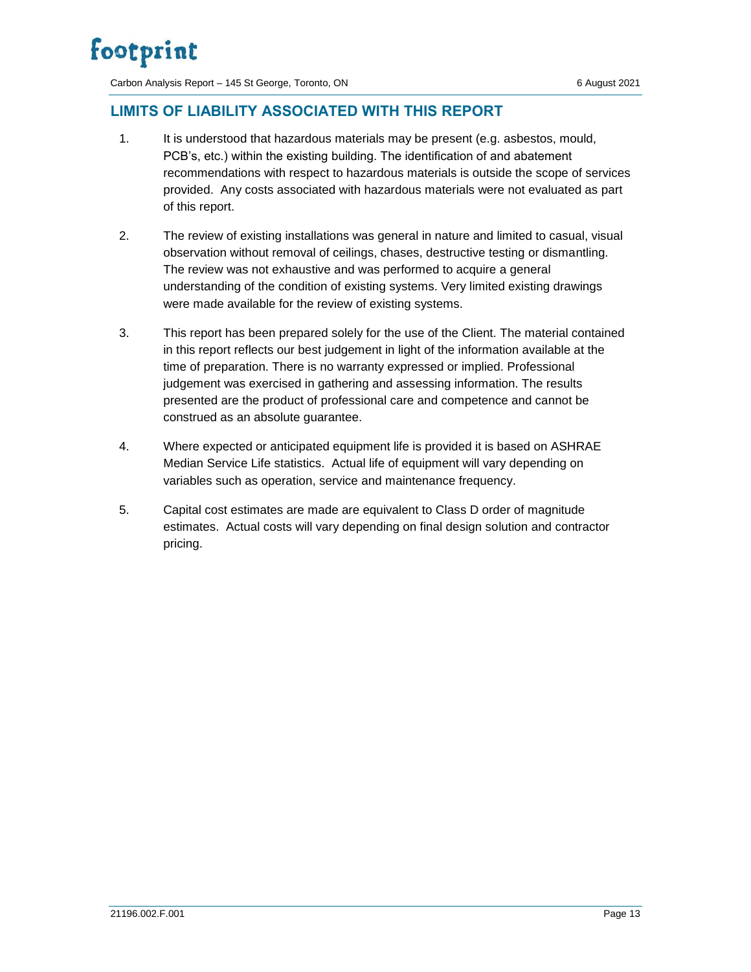Carbon Analysis Report – 145 St George, Toronto, ON 6 August 2021

### <span id="page-13-0"></span>**LIMITS OF LIABILITY ASSOCIATED WITH THIS REPORT**

- 1. It is understood that hazardous materials may be present (e.g. asbestos, mould, PCB's, etc.) within the existing building. The identification of and abatement recommendations with respect to hazardous materials is outside the scope of services provided. Any costs associated with hazardous materials were not evaluated as part of this report.
- 2. The review of existing installations was general in nature and limited to casual, visual observation without removal of ceilings, chases, destructive testing or dismantling. The review was not exhaustive and was performed to acquire a general understanding of the condition of existing systems. Very limited existing drawings were made available for the review of existing systems.
- 3. This report has been prepared solely for the use of the Client. The material contained in this report reflects our best judgement in light of the information available at the time of preparation. There is no warranty expressed or implied. Professional judgement was exercised in gathering and assessing information. The results presented are the product of professional care and competence and cannot be construed as an absolute guarantee.
- 4. Where expected or anticipated equipment life is provided it is based on ASHRAE Median Service Life statistics. Actual life of equipment will vary depending on variables such as operation, service and maintenance frequency.
- 5. Capital cost estimates are made are equivalent to Class D order of magnitude estimates. Actual costs will vary depending on final design solution and contractor pricing.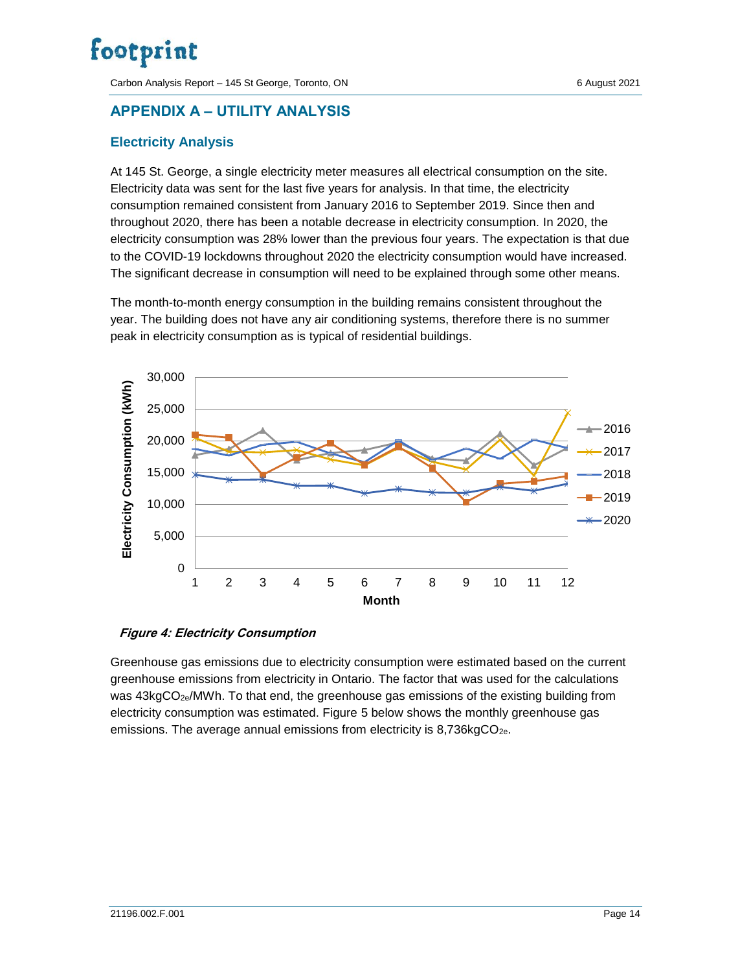Carbon Analysis Report – 145 St George, Toronto, ON 6 August 2021

### <span id="page-14-0"></span>**APPENDIX A – UTILITY ANALYSIS**

### <span id="page-14-1"></span>**Electricity Analysis**

At 145 St. George, a single electricity meter measures all electrical consumption on the site. Electricity data was sent for the last five years for analysis. In that time, the electricity consumption remained consistent from January 2016 to September 2019. Since then and throughout 2020, there has been a notable decrease in electricity consumption. In 2020, the electricity consumption was 28% lower than the previous four years. The expectation is that due to the COVID-19 lockdowns throughout 2020 the electricity consumption would have increased. The significant decrease in consumption will need to be explained through some other means.

The month-to-month energy consumption in the building remains consistent throughout the year. The building does not have any air conditioning systems, therefore there is no summer peak in electricity consumption as is typical of residential buildings.



#### **Figure 4: Electricity Consumption**

Greenhouse gas emissions due to electricity consumption were estimated based on the current greenhouse emissions from electricity in Ontario. The factor that was used for the calculations was 43kgCO<sub>2e</sub>/MWh. To that end, the greenhouse gas emissions of the existing building from electricity consumption was estimated. Figure 5 below shows the monthly greenhouse gas emissions. The average annual emissions from electricity is 8,736kgCO<sub>2e</sub>.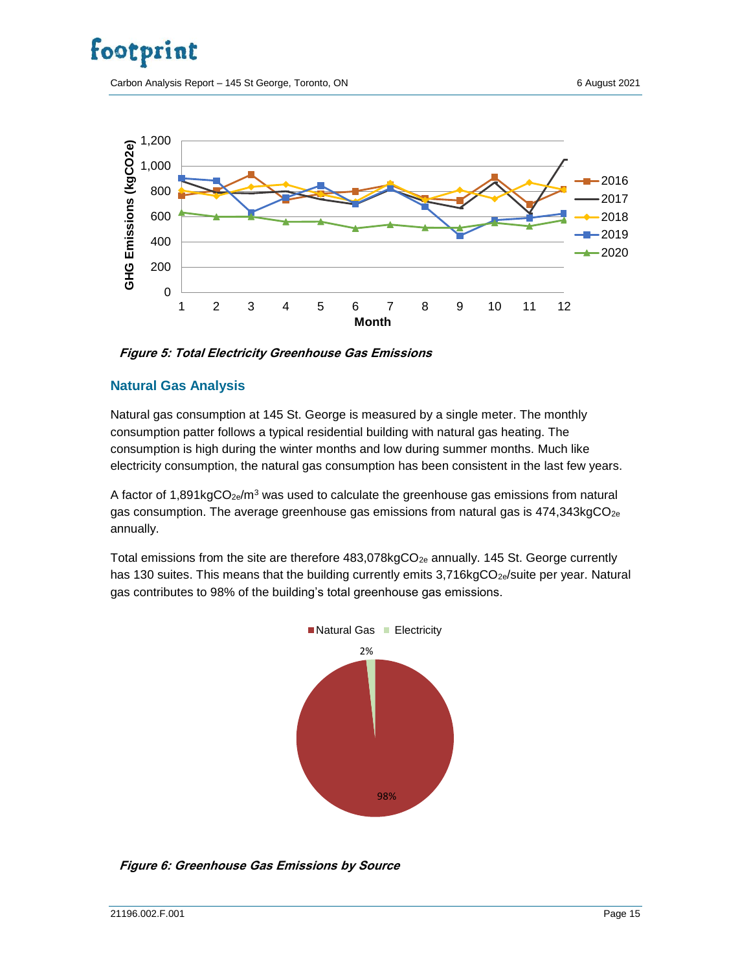Carbon Analysis Report – 145 St George, Toronto, ON 6 6 August 2021



**Figure 5: Total Electricity Greenhouse Gas Emissions**

#### <span id="page-15-0"></span>**Natural Gas Analysis**

Natural gas consumption at 145 St. George is measured by a single meter. The monthly consumption patter follows a typical residential building with natural gas heating. The consumption is high during the winter months and low during summer months. Much like electricity consumption, the natural gas consumption has been consistent in the last few years.

A factor of 1,891kgCO<sub>2e</sub>/m<sup>3</sup> was used to calculate the greenhouse gas emissions from natural gas consumption. The average greenhouse gas emissions from natural gas is  $474,343kgCO<sub>2e</sub>$ annually.

Total emissions from the site are therefore  $483,078kgCO<sub>2e</sub>$  annually. 145 St. George currently has 130 suites. This means that the building currently emits  $3,716kgCO<sub>2e</sub>/s$ uite per year. Natural gas contributes to 98% of the building's total greenhouse gas emissions.



**Figure 6: Greenhouse Gas Emissions by Source**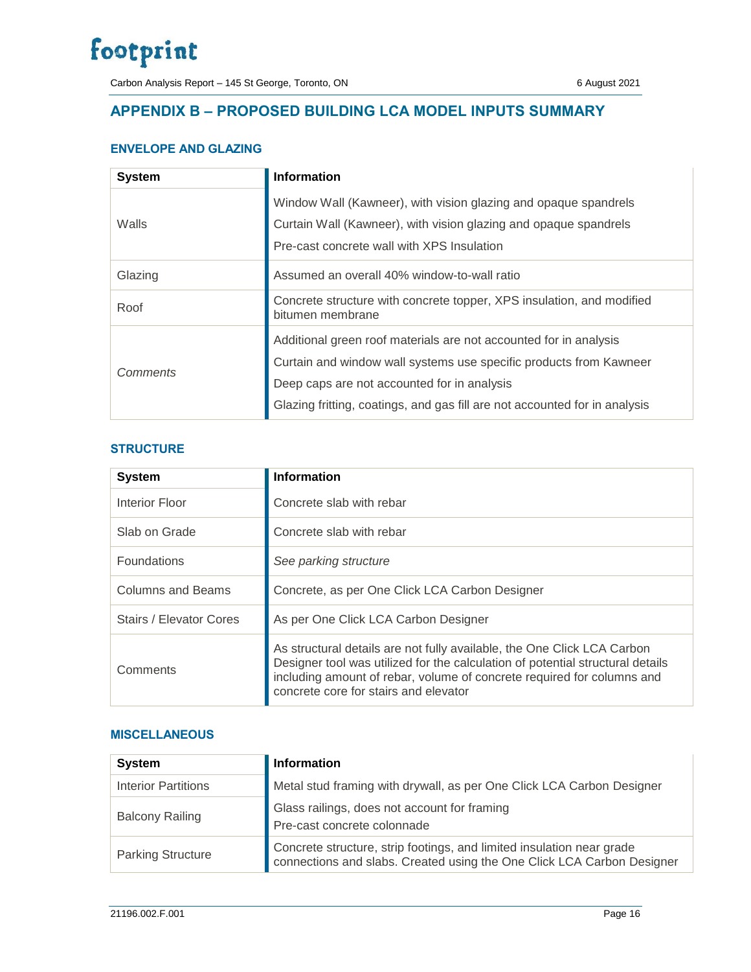Carbon Analysis Report – 145 St George, Toronto, ON 6 August 2021

### <span id="page-16-0"></span>**APPENDIX B – PROPOSED BUILDING LCA MODEL INPUTS SUMMARY**

### **ENVELOPE AND GLAZING**

| <b>System</b> | <b>Information</b>                                                                                                                                                                                                                                                   |
|---------------|----------------------------------------------------------------------------------------------------------------------------------------------------------------------------------------------------------------------------------------------------------------------|
| Walls         | Window Wall (Kawneer), with vision glazing and opaque spandrels<br>Curtain Wall (Kawneer), with vision glazing and opaque spandrels<br>Pre-cast concrete wall with XPS Insulation                                                                                    |
| Glazing       | Assumed an overall 40% window-to-wall ratio                                                                                                                                                                                                                          |
| Roof          | Concrete structure with concrete topper, XPS insulation, and modified<br>bitumen membrane                                                                                                                                                                            |
| Comments      | Additional green roof materials are not accounted for in analysis<br>Curtain and window wall systems use specific products from Kawneer<br>Deep caps are not accounted for in analysis<br>Glazing fritting, coatings, and gas fill are not accounted for in analysis |

#### **STRUCTURE**

| <b>System</b>           | <b>Information</b>                                                                                                                                                                                                                                                           |
|-------------------------|------------------------------------------------------------------------------------------------------------------------------------------------------------------------------------------------------------------------------------------------------------------------------|
| Interior Floor          | Concrete slab with rebar                                                                                                                                                                                                                                                     |
| Slab on Grade           | Concrete slab with rebar                                                                                                                                                                                                                                                     |
| <b>Foundations</b>      | See parking structure                                                                                                                                                                                                                                                        |
| Columns and Beams       | Concrete, as per One Click LCA Carbon Designer                                                                                                                                                                                                                               |
| Stairs / Elevator Cores | As per One Click LCA Carbon Designer                                                                                                                                                                                                                                         |
| Comments                | As structural details are not fully available, the One Click LCA Carbon<br>Designer tool was utilized for the calculation of potential structural details<br>including amount of rebar, volume of concrete required for columns and<br>concrete core for stairs and elevator |

#### **MISCELLANEOUS**

| <b>System</b>              | <b>Information</b>                                                                                                                              |
|----------------------------|-------------------------------------------------------------------------------------------------------------------------------------------------|
| <b>Interior Partitions</b> | Metal stud framing with drywall, as per One Click LCA Carbon Designer                                                                           |
| <b>Balcony Railing</b>     | Glass railings, does not account for framing<br>Pre-cast concrete colonnade                                                                     |
| <b>Parking Structure</b>   | Concrete structure, strip footings, and limited insulation near grade<br>connections and slabs. Created using the One Click LCA Carbon Designer |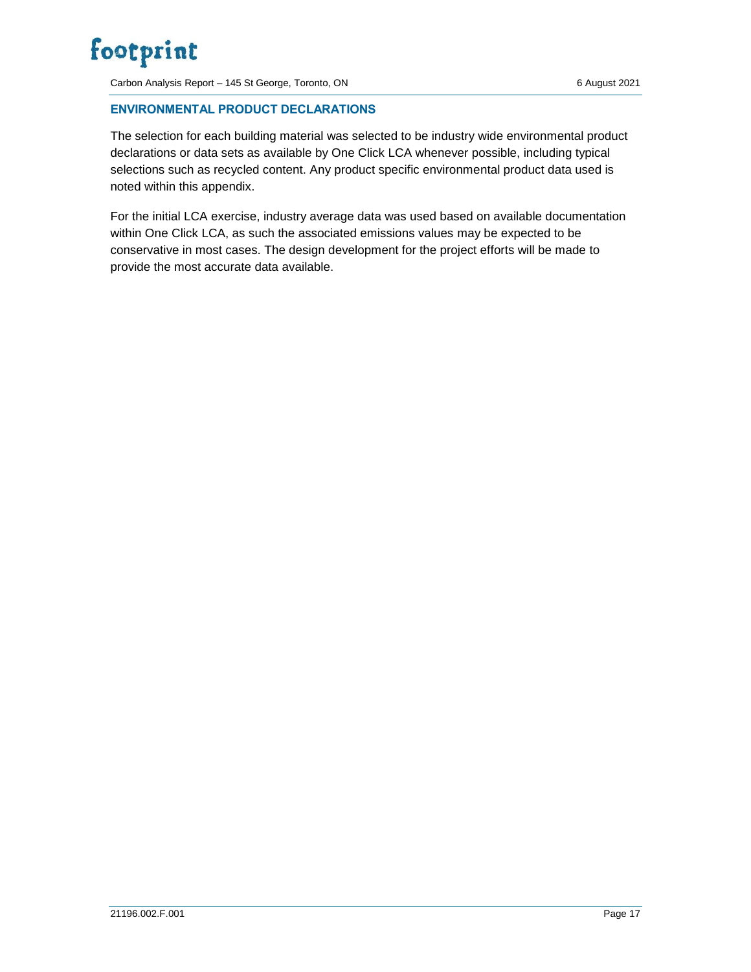Carbon Analysis Report – 145 St George, Toronto, ON 6 6 August 2021

### **ENVIRONMENTAL PRODUCT DECLARATIONS**

The selection for each building material was selected to be industry wide environmental product declarations or data sets as available by One Click LCA whenever possible, including typical selections such as recycled content. Any product specific environmental product data used is noted within this appendix.

For the initial LCA exercise, industry average data was used based on available documentation within One Click LCA, as such the associated emissions values may be expected to be conservative in most cases. The design development for the project efforts will be made to provide the most accurate data available.